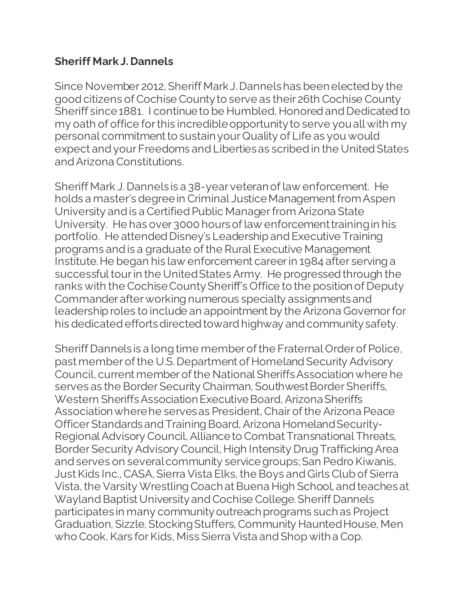## **Sheriff Mark J. Dannels**

Since November 2012, Sheriff Mark J. Dannelshas been elected by the good citizens of Cochise County to serve as their 26th Cochise County Sheriff since 1881. I continue to be Humbled, Honored and Dedicated to my oath of office for this incredible opportunity to serve you all with my personal commitment to sustain your Quality of Life as you would expect and your Freedoms and Liberties as scribed in the United States and Arizona Constitutions.

Sheriff Mark J. Dannels is a 38-year veteran of law enforcement. He holds a master's degree in Criminal Justice Management from Aspen University and is a Certified Public Manager from Arizona State University. He has over 3000 hours of law enforcement training in his portfolio. He attended Disney's Leadership and Executive Training programs and is a graduate of the Rural Executive Management Institute. He began his law enforcement career in 1984 after serving a successful tour in the United States Army. He progressed through the ranks with the Cochise County Sheriff's Office to the position of Deputy Commander after working numerous specialty assignments and leadership roles to include an appointment by the Arizona Governor for his dedicated efforts directed toward highway and community safety.

Sheriff Dannels is a long time member of the Fraternal Order of Police, past member of the U.S. Department of Homeland Security Advisory Council, current member of the National Sheriffs Association where he serves as the Border Security Chairman, Southwest Border Sheriffs, Western Sheriffs Association Executive Board, Arizona Sheriffs Association where he serves as President, Chair of the Arizona Peace Officer Standards and Training Board, Arizona Homeland Security-Regional Advisory Council, Alliance to Combat Transnational Threats, Border Security Advisory Council, High Intensity Drug Trafficking Area and serves on several community service groups; San Pedro Kiwanis, Just Kids Inc., CASA, Sierra Vista Elks, the Boys and Girls Club of Sierra Vista, the Varsity Wrestling Coach at Buena High School, and teaches at Wayland Baptist University and Cochise College. Sheriff Dannels participates in many community outreach programs such as Project Graduation, Sizzle, Stocking Stuffers, Community Haunted House, Men who Cook, Kars for Kids, Miss Sierra Vista and Shop with a Cop.